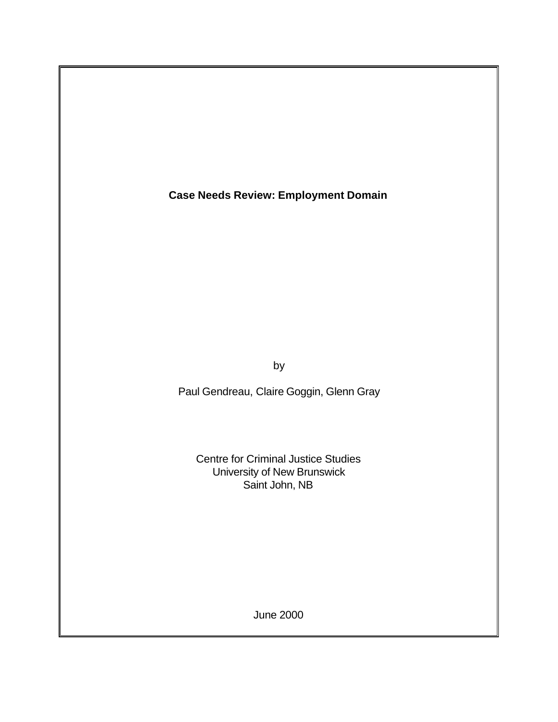**Case Needs Review: Employment Domain**

by

Paul Gendreau, Claire Goggin, Glenn Gray

Centre for Criminal Justice Studies University of New Brunswick Saint John, NB

June 2000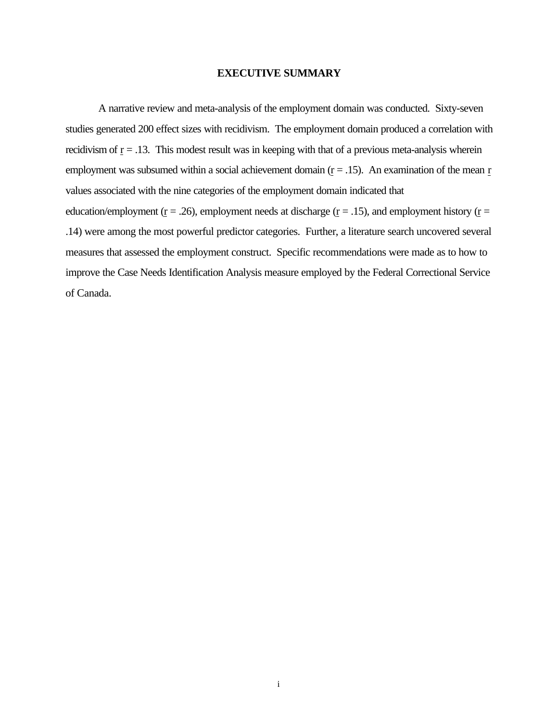#### **EXECUTIVE SUMMARY**

A narrative review and meta-analysis of the employment domain was conducted. Sixty-seven studies generated 200 effect sizes with recidivism. The employment domain produced a correlation with recidivism of  $r = .13$ . This modest result was in keeping with that of a previous meta-analysis wherein employment was subsumed within a social achievement domain  $(r = .15)$ . An examination of the mean r values associated with the nine categories of the employment domain indicated that education/employment ( $r = .26$ ), employment needs at discharge ( $r = .15$ ), and employment history ( $r =$ .14) were among the most powerful predictor categories. Further, a literature search uncovered several measures that assessed the employment construct. Specific recommendations were made as to how to improve the Case Needs Identification Analysis measure employed by the Federal Correctional Service of Canada.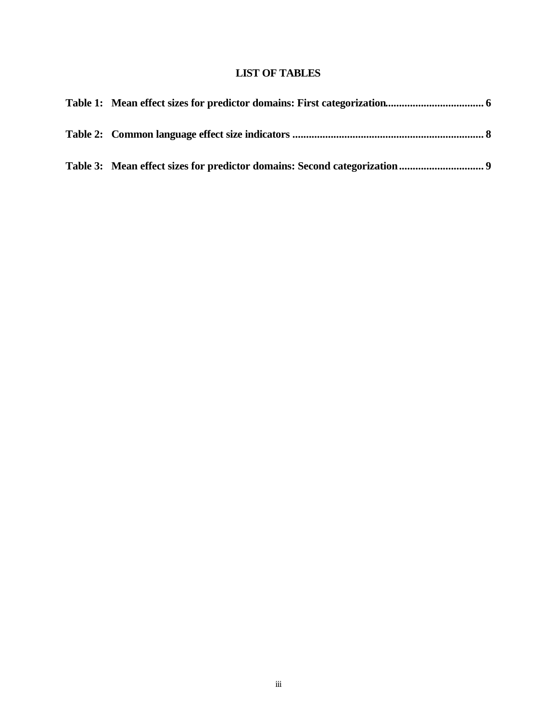# **LIST OF TABLES**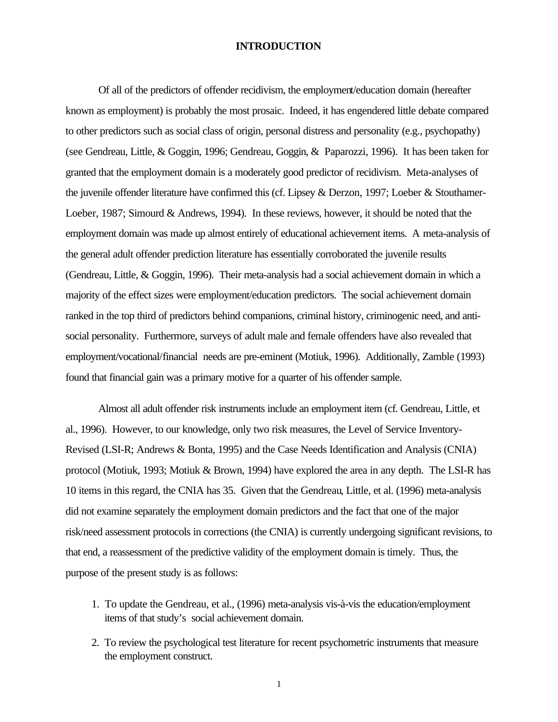### **INTRODUCTION**

Of all of the predictors of offender recidivism, the employment/education domain (hereafter known as employment) is probably the most prosaic. Indeed, it has engendered little debate compared to other predictors such as social class of origin, personal distress and personality (e.g., psychopathy) (see Gendreau, Little, & Goggin, 1996; Gendreau, Goggin, & Paparozzi, 1996). It has been taken for granted that the employment domain is a moderately good predictor of recidivism. Meta-analyses of the juvenile offender literature have confirmed this (cf. Lipsey & Derzon, 1997; Loeber & Stouthamer-Loeber, 1987; Simourd & Andrews, 1994). In these reviews, however, it should be noted that the employment domain was made up almost entirely of educational achievement items. A meta-analysis of the general adult offender prediction literature has essentially corroborated the juvenile results (Gendreau, Little, & Goggin, 1996). Their meta-analysis had a social achievement domain in which a majority of the effect sizes were employment/education predictors. The social achievement domain ranked in the top third of predictors behind companions, criminal history, criminogenic need, and antisocial personality. Furthermore, surveys of adult male and female offenders have also revealed that employment/vocational/financial needs are pre-eminent (Motiuk, 1996). Additionally, Zamble (1993) found that financial gain was a primary motive for a quarter of his offender sample.

Almost all adult offender risk instruments include an employment item (cf. Gendreau, Little, et al., 1996). However, to our knowledge, only two risk measures, the Level of Service Inventory-Revised (LSI-R; Andrews & Bonta, 1995) and the Case Needs Identification and Analysis (CNIA) protocol (Motiuk, 1993; Motiuk & Brown, 1994) have explored the area in any depth. The LSI-R has 10 items in this regard, the CNIA has 35. Given that the Gendreau, Little, et al. (1996) meta-analysis did not examine separately the employment domain predictors and the fact that one of the major risk/need assessment protocols in corrections (the CNIA) is currently undergoing significant revisions, to that end, a reassessment of the predictive validity of the employment domain is timely. Thus, the purpose of the present study is as follows:

- 1. To update the Gendreau, et al., (1996) meta-analysis vis-à-vis the education/employment items of that study's social achievement domain.
- 2. To review the psychological test literature for recent psychometric instruments that measure the employment construct.

1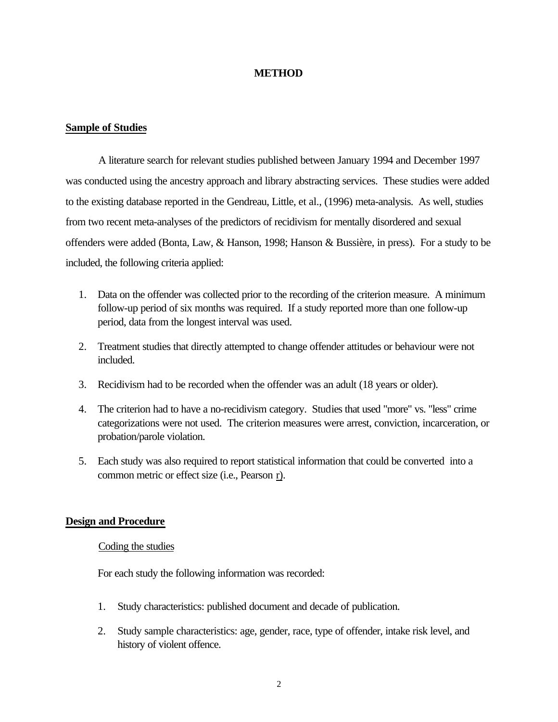## **METHOD**

## **Sample of Studies**

A literature search for relevant studies published between January 1994 and December 1997 was conducted using the ancestry approach and library abstracting services. These studies were added to the existing database reported in the Gendreau, Little, et al., (1996) meta-analysis. As well, studies from two recent meta-analyses of the predictors of recidivism for mentally disordered and sexual offenders were added (Bonta, Law, & Hanson, 1998; Hanson & Bussière, in press). For a study to be included, the following criteria applied:

- 1. Data on the offender was collected prior to the recording of the criterion measure. A minimum follow-up period of six months was required. If a study reported more than one follow-up period, data from the longest interval was used.
- 2. Treatment studies that directly attempted to change offender attitudes or behaviour were not included.
- 3. Recidivism had to be recorded when the offender was an adult (18 years or older).
- 4. The criterion had to have a no-recidivism category. Studies that used "more" vs. "less" crime categorizations were not used. The criterion measures were arrest, conviction, incarceration, or probation/parole violation.
- 5. Each study was also required to report statistical information that could be converted into a common metric or effect size (i.e., Pearson r).

### **Design and Procedure**

## Coding the studies

For each study the following information was recorded:

- 1. Study characteristics: published document and decade of publication.
- 2. Study sample characteristics: age, gender, race, type of offender, intake risk level, and history of violent offence.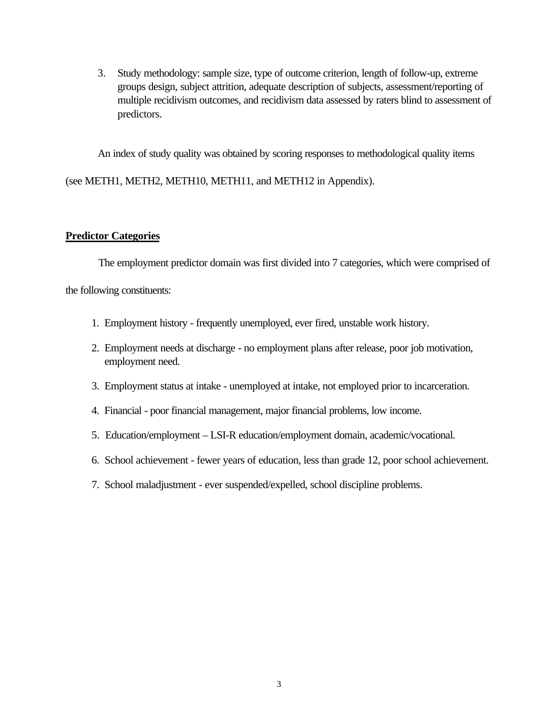3. Study methodology: sample size, type of outcome criterion, length of follow-up, extreme groups design, subject attrition, adequate description of subjects, assessment/reporting of multiple recidivism outcomes, and recidivism data assessed by raters blind to assessment of predictors.

An index of study quality was obtained by scoring responses to methodological quality items

(see METH1, METH2, METH10, METH11, and METH12 in Appendix).

## **Predictor Categories**

The employment predictor domain was first divided into 7 categories, which were comprised of the following constituents:

- 1. Employment history frequently unemployed, ever fired, unstable work history.
- 2. Employment needs at discharge no employment plans after release, poor job motivation, employment need.
- 3. Employment status at intake unemployed at intake, not employed prior to incarceration.
- 4. Financial poor financial management, major financial problems, low income.
- 5. Education/employment LSI-R education/employment domain, academic/vocational.
- 6. School achievement fewer years of education, less than grade 12, poor school achievement.
- 7. School maladjustment ever suspended/expelled, school discipline problems.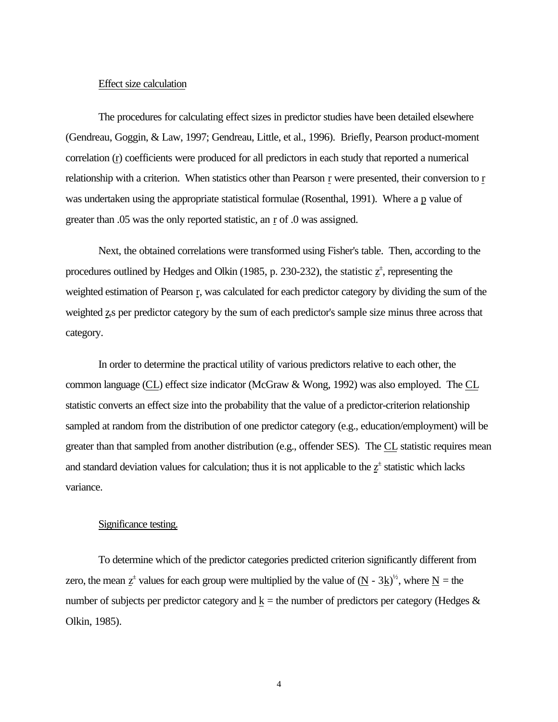#### Effect size calculation

The procedures for calculating effect sizes in predictor studies have been detailed elsewhere (Gendreau, Goggin, & Law, 1997; Gendreau, Little, et al., 1996). Briefly, Pearson product-moment correlation (r) coefficients were produced for all predictors in each study that reported a numerical relationship with a criterion. When statistics other than Pearson r were presented, their conversion to r was undertaken using the appropriate statistical formulae (Rosenthal, 1991). Where a p value of greater than .05 was the only reported statistic, an r of .0 was assigned.

Next, the obtained correlations were transformed using Fisher's table. Then, according to the procedures outlined by Hedges and Olkin (1985, p. 230-232), the statistic  $z^{\dagger}$ , representing the weighted estimation of Pearson r, was calculated for each predictor category by dividing the sum of the weighted z<sub>s</sub> per predictor category by the sum of each predictor's sample size minus three across that category.

In order to determine the practical utility of various predictors relative to each other, the common language (CL) effect size indicator (McGraw & Wong, 1992) was also employed. The CL statistic converts an effect size into the probability that the value of a predictor-criterion relationship sampled at random from the distribution of one predictor category (e.g., education/employment) will be greater than that sampled from another distribution (e.g., offender SES). The CL statistic requires mean and standard deviation values for calculation; thus it is not applicable to the  $z^{\pm}$  statistic which lacks variance.

## Significance testing.

To determine which of the predictor categories predicted criterion significantly different from zero, the mean  $z^{\pm}$  values for each group were multiplied by the value of  $(N - 3k)^{1/2}$ , where  $N =$  the number of subjects per predictor category and  $k =$  the number of predictors per category (Hedges  $\&$ Olkin, 1985).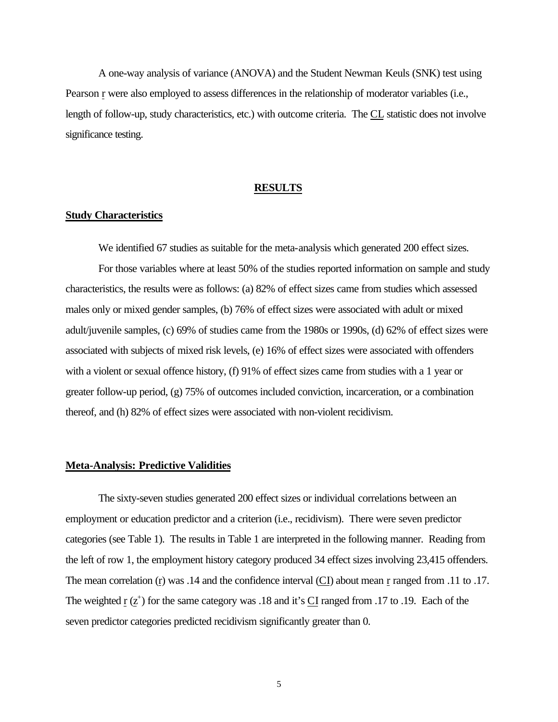A one-way analysis of variance (ANOVA) and the Student Newman Keuls (SNK) test using Pearson r were also employed to assess differences in the relationship of moderator variables (i.e., length of follow-up, study characteristics, etc.) with outcome criteria. The CL statistic does not involve significance testing.

#### **RESULTS**

### **Study Characteristics**

We identified 67 studies as suitable for the meta-analysis which generated 200 effect sizes. For those variables where at least 50% of the studies reported information on sample and study characteristics, the results were as follows: (a) 82% of effect sizes came from studies which assessed males only or mixed gender samples, (b) 76% of effect sizes were associated with adult or mixed adult/juvenile samples, (c) 69% of studies came from the 1980s or 1990s, (d) 62% of effect sizes were associated with subjects of mixed risk levels, (e) 16% of effect sizes were associated with offenders with a violent or sexual offence history, (f) 91% of effect sizes came from studies with a 1 year or greater follow-up period, (g) 75% of outcomes included conviction, incarceration, or a combination thereof, and (h) 82% of effect sizes were associated with non-violent recidivism.

## **Meta-Analysis: Predictive Validities**

The sixty-seven studies generated 200 effect sizes or individual correlations between an employment or education predictor and a criterion (i.e., recidivism). There were seven predictor categories (see Table 1). The results in Table 1 are interpreted in the following manner. Reading from the left of row 1, the employment history category produced 34 effect sizes involving 23,415 offenders. The mean correlation (r) was .14 and the confidence interval (CI) about mean r ranged from .11 to .17. The weighted  $r(z^+)$  for the same category was .18 and it's  $C<sub>I</sub>$  ranged from .17 to .19. Each of the seven predictor categories predicted recidivism significantly greater than 0.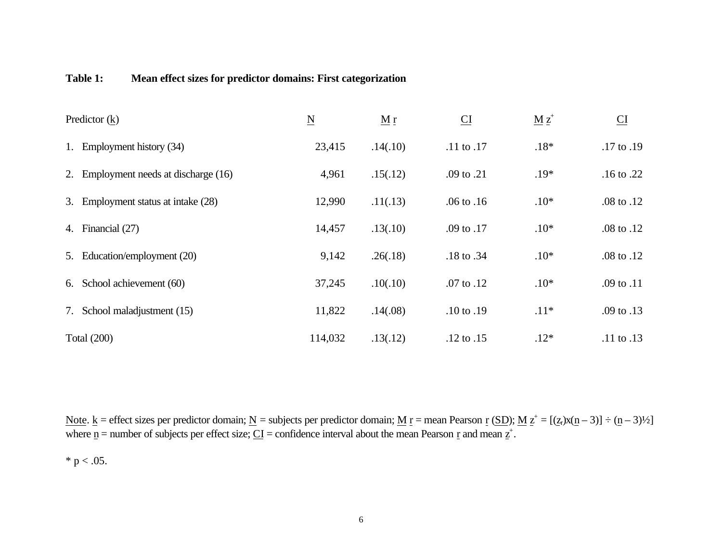## **Table 1: Mean effect sizes for predictor domains: First categorization**

|    | Predictor $(k)$                       | $\underline{\mathbf{N}}$ | $\underline{M}$ r | $\underline{\text{CI}}$ | $\underline{M}$ $\underline{z}^+$ | $\underline{\text{CI}}$ |
|----|---------------------------------------|--------------------------|-------------------|-------------------------|-----------------------------------|-------------------------|
| 1. | Employment history (34)               | 23,415                   | .14(.10)          | .11 to .17              | $.18*$                            | $.17$ to $.19$          |
|    | 2. Employment needs at discharge (16) | 4,961                    | .15(.12)          | .09 to .21              | $.19*$                            | $.16$ to $.22$          |
|    | 3. Employment status at intake (28)   | 12,990                   | .11(.13)          | $.06$ to $.16$          | $.10*$                            | .08 to .12              |
|    | 4. Financial (27)                     | 14,457                   | .13(.10)          | .09 to .17              | $.10*$                            | .08 to .12              |
| 5. | Education/employment (20)             | 9,142                    | .26(.18)          | .18 to .34              | $.10*$                            | .08 to .12              |
| 6. | School achievement (60)               | 37,245                   | .10(.10)          | .07 to .12              | $.10*$                            | .09 to .11              |
| 7. | School maladjustment (15)             | 11,822                   | .14(.08)          | $.10 \text{ to } .19$   | $.11*$                            | .09 to .13              |
|    | <b>Total (200)</b>                    | 114,032                  | .13(.12)          | $.12 \text{ to } .15$   | $.12*$                            | $.11$ to $.13$          |

Note.  $\underline{k}$  = effect sizes per predictor domain;  $\underline{N}$  = subjects per predictor domain;  $\underline{M}$  <u>r</u> = mean Pearson <u>r</u> (SD);  $\underline{M}$   $\underline{z}^+$  = [( $\underline{z}$ ,)x( $\underline{n}$  – 3) = ( $\underline{n}$  – 3)<sup>1</sup>/2] where  $\underline{n}$  = number of subjects per effect size;  $\underline{CI}$  = confidence interval about the mean Pearson  $\underline{r}$  and mean  $\underline{z}^+$ .

\*  $p < .05$ .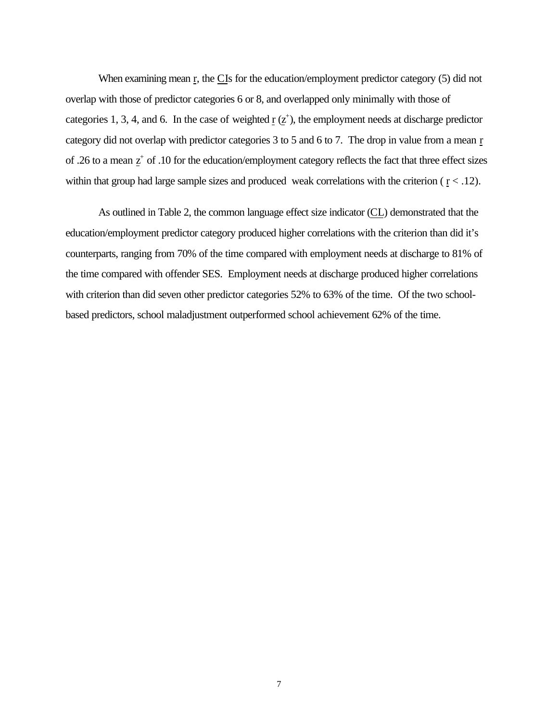When examining mean r, the CIs for the education/employment predictor category (5) did not overlap with those of predictor categories 6 or 8, and overlapped only minimally with those of categories 1, 3, 4, and 6. In the case of weighted  $\mathbf{r}$  ( $\mathbf{z}^+$ ), the employment needs at discharge predictor category did not overlap with predictor categories 3 to 5 and 6 to 7. The drop in value from a mean r of .26 to a mean  $z^+$  of .10 for the education/employment category reflects the fact that three effect sizes within that group had large sample sizes and produced weak correlations with the criterion ( $r < .12$ ).

As outlined in Table 2, the common language effect size indicator (CL) demonstrated that the education/employment predictor category produced higher correlations with the criterion than did it's counterparts, ranging from 70% of the time compared with employment needs at discharge to 81% of the time compared with offender SES. Employment needs at discharge produced higher correlations with criterion than did seven other predictor categories 52% to 63% of the time. Of the two schoolbased predictors, school maladjustment outperformed school achievement 62% of the time.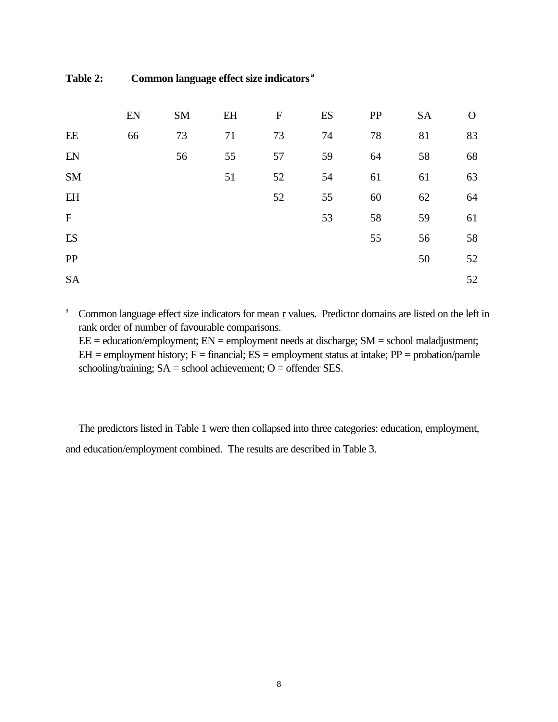**Table 2: Common language effect size indicators <sup>a</sup>**

|                           | EN | SM | EH | ${\bf F}$ | ES | PP | <b>SA</b> | $\Omega$ |
|---------------------------|----|----|----|-----------|----|----|-----------|----------|
| EE                        | 66 | 73 | 71 | 73        | 74 | 78 | 81        | 83       |
| EN                        |    | 56 | 55 | 57        | 59 | 64 | 58        | 68       |
| SM                        |    |    | 51 | 52        | 54 | 61 | 61        | 63       |
| EH                        |    |    |    | 52        | 55 | 60 | 62        | 64       |
| $\boldsymbol{\mathrm{F}}$ |    |    |    |           | 53 | 58 | 59        | 61       |
| ES                        |    |    |    |           |    | 55 | 56        | 58       |
| PP                        |    |    |    |           |    |    | 50        | 52       |
| <b>SA</b>                 |    |    |    |           |    |    |           | 52       |

<sup>a</sup> Common language effect size indicators for mean r values. Predictor domains are listed on the left in rank order of number of favourable comparisons.

 $EE = education/employment$ ;  $EN = employment needs at discharge$ ;  $SM = school maladjustment$ ;  $EH =$  employment history;  $F =$  financial;  $ES =$  employment status at intake;  $PP =$  probation/parole schooling/training;  $SA =$  school achievement;  $O =$  offender SES.

The predictors listed in Table 1 were then collapsed into three categories: education, employment, and education/employment combined. The results are described in Table 3.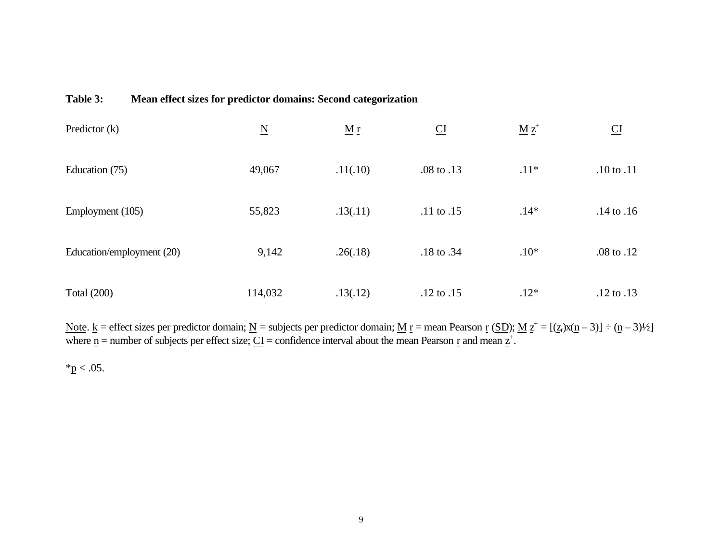## **Table 3: Mean effect sizes for predictor domains: Second categorization**

| Predictor $(k)$           | $\underline{\mathbf{N}}$ | $\underline{M}$ $\underline{r}$ | CI             | $\underline{M}$ $\underline{z}^*$ | CI                    |
|---------------------------|--------------------------|---------------------------------|----------------|-----------------------------------|-----------------------|
| Education (75)            | 49,067                   | .11(.10)                        | .08 to .13     | $.11*$                            | $.10$ to $.11$        |
| Employment (105)          | 55,823                   | .13(.11)                        | $.11$ to $.15$ | $.14*$                            | $.14$ to $.16$        |
| Education/employment (20) | 9,142                    | .26(.18)                        | .18 to .34     | $.10*$                            | .08 to .12            |
| <b>Total (200)</b>        | 114,032                  | .13(.12)                        | $.12$ to $.15$ | $.12*$                            | $.12 \text{ to } .13$ |

Note.  $\underline{k}$  = effect sizes per predictor domain;  $\underline{N}$  = subjects per predictor domain;  $\underline{M}$  <u>r</u> = mean Pearson <u>r</u> (SD);  $\underline{M}$   $\underline{z}^+$  = [( $\underline{z}$ ,)x( $\underline{n}$  – 3) = ( $\underline{n}$  – 3)<sup>1</sup>/2] where  $\underline{n}$  = number of subjects per effect size;  $\underline{CI}$  = confidence interval about the mean Pearson  $\underline{r}$  and mean  $\underline{z}^+$ .

 $*p < .05$ .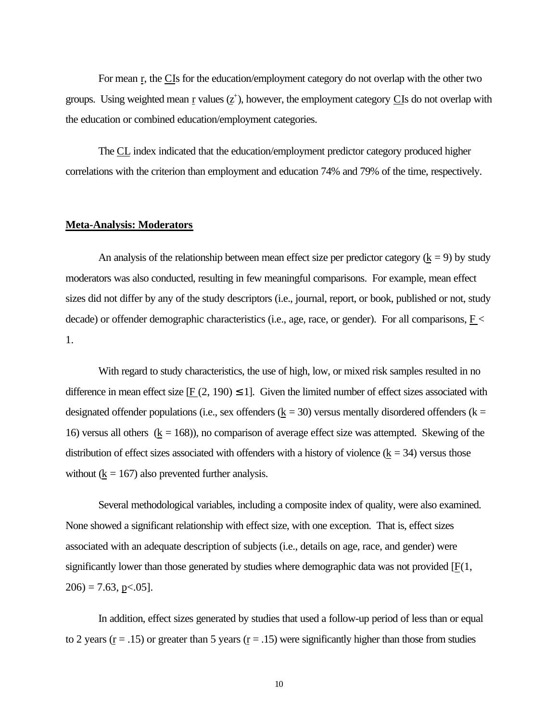For mean r, the CIs for the education/employment category do not overlap with the other two groups. Using weighted mean  $\underline{r}$  values ( $\underline{z}^+$ ), however, the employment category CIs do not overlap with the education or combined education/employment categories.

The CL index indicated that the education/employment predictor category produced higher correlations with the criterion than employment and education 74% and 79% of the time, respectively.

### **Meta-Analysis: Moderators**

An analysis of the relationship between mean effect size per predictor category  $(k = 9)$  by study moderators was also conducted, resulting in few meaningful comparisons. For example, mean effect sizes did not differ by any of the study descriptors (i.e., journal, report, or book, published or not, study decade) or offender demographic characteristics (i.e., age, race, or gender). For all comparisons, F < 1.

With regard to study characteristics, the use of high, low, or mixed risk samples resulted in no difference in mean effect size  $[F (2, 190) \leq 1]$ . Given the limited number of effect sizes associated with designated offender populations (i.e., sex offenders ( $k = 30$ ) versus mentally disordered offenders ( $k =$ 16) versus all others  $(k = 168)$ , no comparison of average effect size was attempted. Skewing of the distribution of effect sizes associated with offenders with a history of violence  $(k = 34)$  versus those without ( $k = 167$ ) also prevented further analysis.

Several methodological variables, including a composite index of quality, were also examined. None showed a significant relationship with effect size, with one exception. That is, effect sizes associated with an adequate description of subjects (i.e., details on age, race, and gender) were significantly lower than those generated by studies where demographic data was not provided [F(1,  $206$ ) = 7.63, p < 05].

In addition, effect sizes generated by studies that used a follow-up period of less than or equal to 2 years ( $r = .15$ ) or greater than 5 years ( $r = .15$ ) were significantly higher than those from studies

10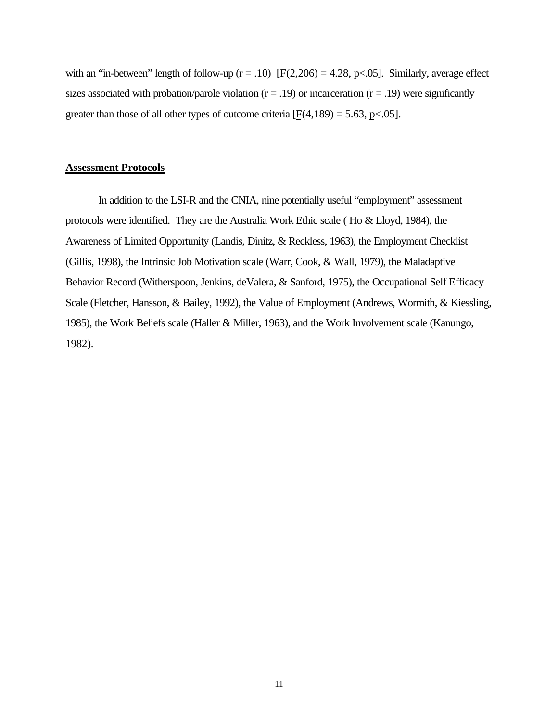with an "in-between" length of follow-up  $(r = .10)$  [F(2,206) = 4.28, p<.05]. Similarly, average effect sizes associated with probation/parole violation  $(r = .19)$  or incarceration  $(r = .19)$  were significantly greater than those of all other types of outcome criteria  $[F(4,189) = 5.63, p<0.05]$ .

## **Assessment Protocols**

In addition to the LSI-R and the CNIA, nine potentially useful "employment" assessment protocols were identified. They are the Australia Work Ethic scale ( Ho & Lloyd, 1984), the Awareness of Limited Opportunity (Landis, Dinitz, & Reckless, 1963), the Employment Checklist (Gillis, 1998), the Intrinsic Job Motivation scale (Warr, Cook, & Wall, 1979), the Maladaptive Behavior Record (Witherspoon, Jenkins, deValera, & Sanford, 1975), the Occupational Self Efficacy Scale (Fletcher, Hansson, & Bailey, 1992), the Value of Employment (Andrews, Wormith, & Kiessling, 1985), the Work Beliefs scale (Haller & Miller, 1963), and the Work Involvement scale (Kanungo, 1982).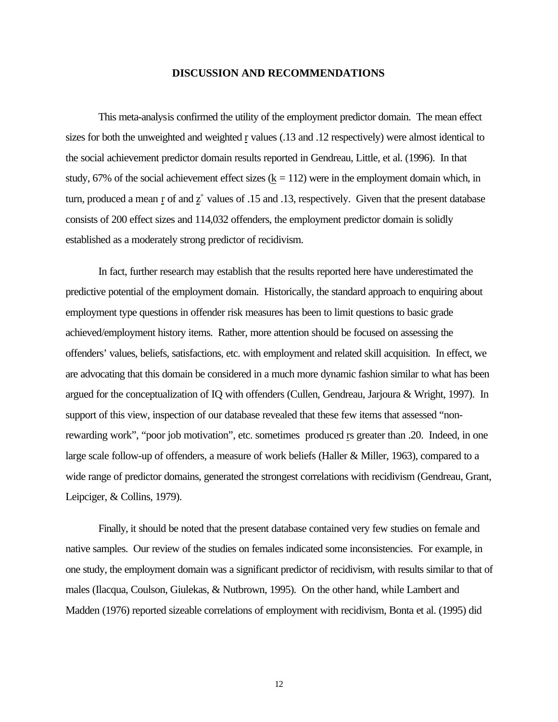### **DISCUSSION AND RECOMMENDATIONS**

This meta-analysis confirmed the utility of the employment predictor domain. The mean effect sizes for both the unweighted and weighted r values (.13 and .12 respectively) were almost identical to the social achievement predictor domain results reported in Gendreau, Little, et al. (1996). In that study, 67% of the social achievement effect sizes  $(k = 112)$  were in the employment domain which, in turn, produced a mean  $\mathbf{r}$  of and  $\mathbf{z}^+$  values of .15 and .13, respectively. Given that the present database consists of 200 effect sizes and 114,032 offenders, the employment predictor domain is solidly established as a moderately strong predictor of recidivism.

In fact, further research may establish that the results reported here have underestimated the predictive potential of the employment domain. Historically, the standard approach to enquiring about employment type questions in offender risk measures has been to limit questions to basic grade achieved/employment history items. Rather, more attention should be focused on assessing the offenders' values, beliefs, satisfactions, etc. with employment and related skill acquisition. In effect, we are advocating that this domain be considered in a much more dynamic fashion similar to what has been argued for the conceptualization of IQ with offenders (Cullen, Gendreau, Jarjoura & Wright, 1997). In support of this view, inspection of our database revealed that these few items that assessed "nonrewarding work", "poor job motivation", etc. sometimes produced rs greater than .20. Indeed, in one large scale follow-up of offenders, a measure of work beliefs (Haller & Miller, 1963), compared to a wide range of predictor domains, generated the strongest correlations with recidivism (Gendreau, Grant, Leipciger, & Collins, 1979).

Finally, it should be noted that the present database contained very few studies on female and native samples. Our review of the studies on females indicated some inconsistencies. For example, in one study, the employment domain was a significant predictor of recidivism, with results similar to that of males (Ilacqua, Coulson, Giulekas, & Nutbrown, 1995). On the other hand, while Lambert and Madden (1976) reported sizeable correlations of employment with recidivism, Bonta et al. (1995) did

12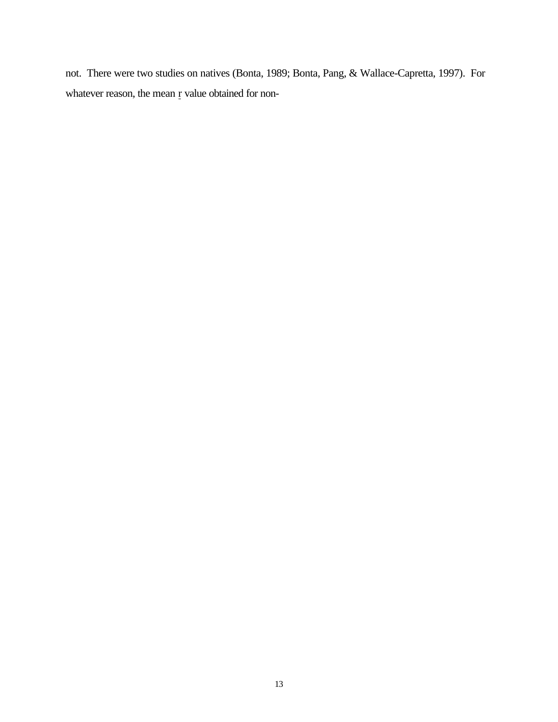not. There were two studies on natives (Bonta, 1989; Bonta, Pang, & Wallace-Capretta, 1997). For whatever reason, the mean r value obtained for non-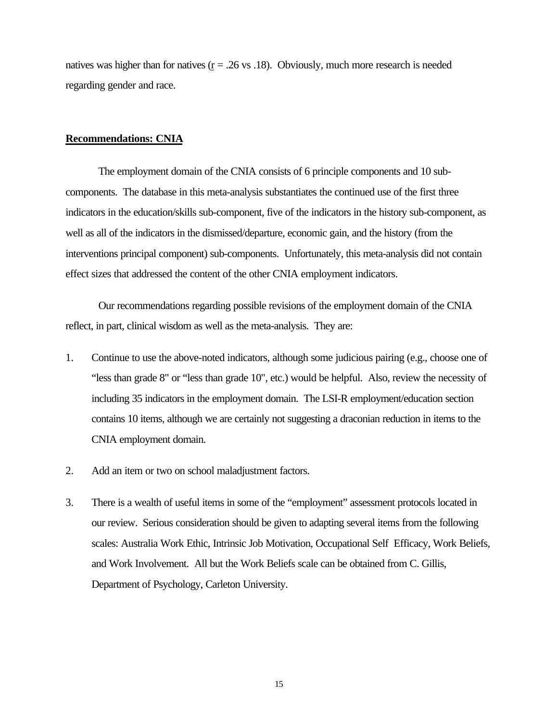natives was higher than for natives ( $r = .26$  vs .18). Obviously, much more research is needed regarding gender and race.

#### **Recommendations: CNIA**

The employment domain of the CNIA consists of 6 principle components and 10 subcomponents. The database in this meta-analysis substantiates the continued use of the first three indicators in the education/skills sub-component, five of the indicators in the history sub-component, as well as all of the indicators in the dismissed/departure, economic gain, and the history (from the interventions principal component) sub-components. Unfortunately, this meta-analysis did not contain effect sizes that addressed the content of the other CNIA employment indicators.

Our recommendations regarding possible revisions of the employment domain of the CNIA reflect, in part, clinical wisdom as well as the meta-analysis. They are:

- 1. Continue to use the above-noted indicators, although some judicious pairing (e.g., choose one of "less than grade 8" or "less than grade 10", etc.) would be helpful. Also, review the necessity of including 35 indicators in the employment domain. The LSI-R employment/education section contains 10 items, although we are certainly not suggesting a draconian reduction in items to the CNIA employment domain.
- 2. Add an item or two on school maladjustment factors.
- 3. There is a wealth of useful items in some of the "employment" assessment protocols located in our review. Serious consideration should be given to adapting several items from the following scales: Australia Work Ethic, Intrinsic Job Motivation, Occupational Self Efficacy, Work Beliefs, and Work Involvement. All but the Work Beliefs scale can be obtained from C. Gillis, Department of Psychology, Carleton University.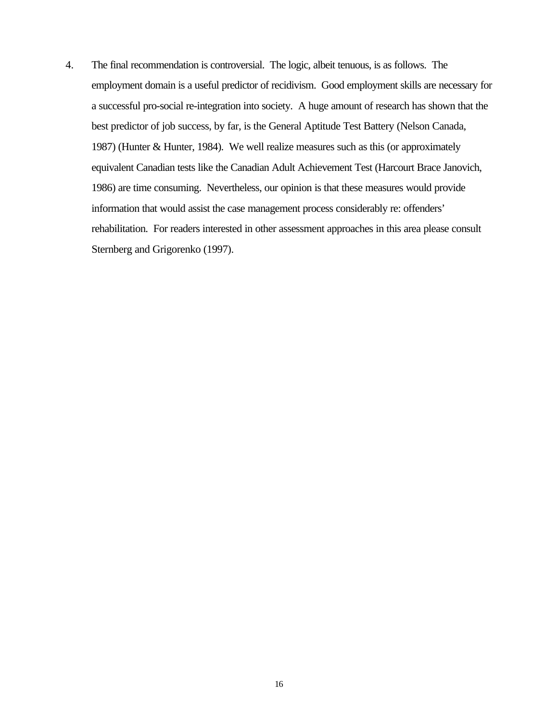4. The final recommendation is controversial. The logic, albeit tenuous, is as follows. The employment domain is a useful predictor of recidivism. Good employment skills are necessary for a successful pro-social re-integration into society. A huge amount of research has shown that the best predictor of job success, by far, is the General Aptitude Test Battery (Nelson Canada, 1987) (Hunter & Hunter, 1984). We well realize measures such as this (or approximately equivalent Canadian tests like the Canadian Adult Achievement Test (Harcourt Brace Janovich, 1986) are time consuming. Nevertheless, our opinion is that these measures would provide information that would assist the case management process considerably re: offenders' rehabilitation. For readers interested in other assessment approaches in this area please consult Sternberg and Grigorenko (1997).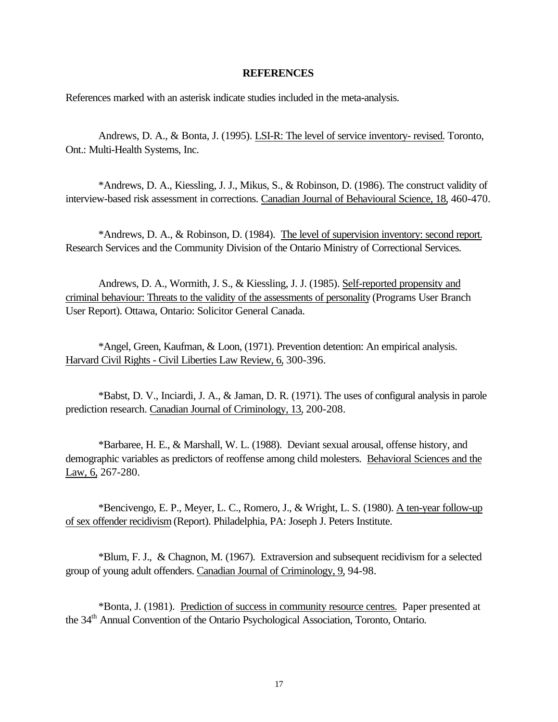### **REFERENCES**

References marked with an asterisk indicate studies included in the meta-analysis.

Andrews, D. A., & Bonta, J. (1995). LSI-R: The level of service inventory- revised. Toronto, Ont.: Multi-Health Systems, Inc.

\*Andrews, D. A., Kiessling, J. J., Mikus, S., & Robinson, D. (1986). The construct validity of interview-based risk assessment in corrections. Canadian Journal of Behavioural Science, 18, 460-470.

\*Andrews, D. A., & Robinson, D. (1984). The level of supervision inventory: second report. Research Services and the Community Division of the Ontario Ministry of Correctional Services.

Andrews, D. A., Wormith, J. S., & Kiessling, J. J. (1985). Self-reported propensity and criminal behaviour: Threats to the validity of the assessments of personality (Programs User Branch User Report). Ottawa, Ontario: Solicitor General Canada.

\*Angel, Green, Kaufman, & Loon, (1971). Prevention detention: An empirical analysis. Harvard Civil Rights - Civil Liberties Law Review, 6, 300-396.

\*Babst, D. V., Inciardi, J. A., & Jaman, D. R. (1971). The uses of configural analysis in parole prediction research. Canadian Journal of Criminology, 13, 200-208.

\*Barbaree, H. E., & Marshall, W. L. (1988). Deviant sexual arousal, offense history, and demographic variables as predictors of reoffense among child molesters. Behavioral Sciences and the Law, 6, 267-280.

\*Bencivengo, E. P., Meyer, L. C., Romero, J., & Wright, L. S. (1980). A ten-year follow-up of sex offender recidivism (Report). Philadelphia, PA: Joseph J. Peters Institute.

\*Blum, F. J., & Chagnon, M. (1967). Extraversion and subsequent recidivism for a selected group of young adult offenders. Canadian Journal of Criminology, 9, 94-98.

\*Bonta, J. (1981). Prediction of success in community resource centres. Paper presented at the 34<sup>th</sup> Annual Convention of the Ontario Psychological Association, Toronto, Ontario.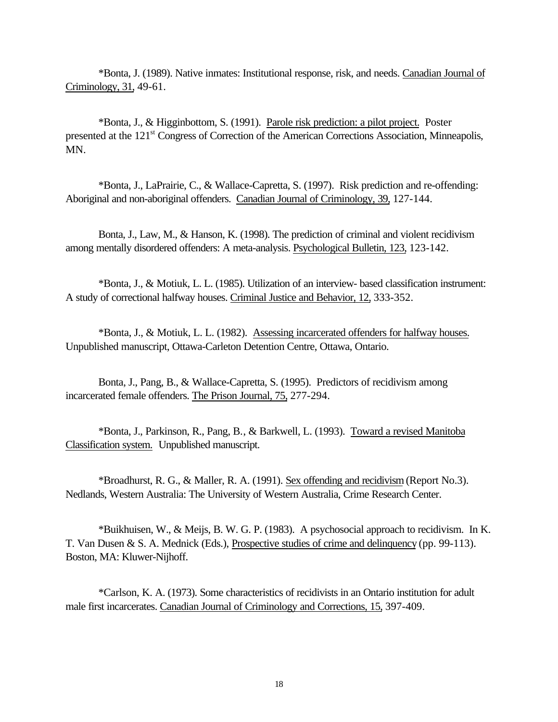\*Bonta, J. (1989). Native inmates: Institutional response, risk, and needs. Canadian Journal of Criminology, 31, 49-61.

\*Bonta, J., & Higginbottom, S. (1991). Parole risk prediction: a pilot project. Poster presented at the 121<sup>st</sup> Congress of Correction of the American Corrections Association, Minneapolis, MN.

\*Bonta, J., LaPrairie, C., & Wallace-Capretta, S. (1997). Risk prediction and re-offending: Aboriginal and non-aboriginal offenders. Canadian Journal of Criminology, 39, 127-144.

Bonta, J., Law, M., & Hanson, K. (1998). The prediction of criminal and violent recidivism among mentally disordered offenders: A meta-analysis. Psychological Bulletin, 123, 123-142.

\*Bonta, J., & Motiuk, L. L. (1985). Utilization of an interview- based classification instrument: A study of correctional halfway houses. Criminal Justice and Behavior, 12, 333-352.

\*Bonta, J., & Motiuk, L. L. (1982). Assessing incarcerated offenders for halfway houses. Unpublished manuscript, Ottawa-Carleton Detention Centre, Ottawa, Ontario.

Bonta, J., Pang, B., & Wallace-Capretta, S. (1995). Predictors of recidivism among incarcerated female offenders. The Prison Journal, 75, 277-294.

\*Bonta, J., Parkinson, R., Pang, B., & Barkwell, L. (1993). Toward a revised Manitoba Classification system. Unpublished manuscript.

\*Broadhurst, R. G., & Maller, R. A. (1991). Sex offending and recidivism (Report No.3). Nedlands, Western Australia: The University of Western Australia, Crime Research Center.

\*Buikhuisen, W., & Meijs, B. W. G. P. (1983). A psychosocial approach to recidivism. In K. T. Van Dusen & S. A. Mednick (Eds.), Prospective studies of crime and delinquency (pp. 99-113). Boston, MA: Kluwer-Nijhoff.

\*Carlson, K. A. (1973). Some characteristics of recidivists in an Ontario institution for adult male first incarcerates. Canadian Journal of Criminology and Corrections, 15, 397-409.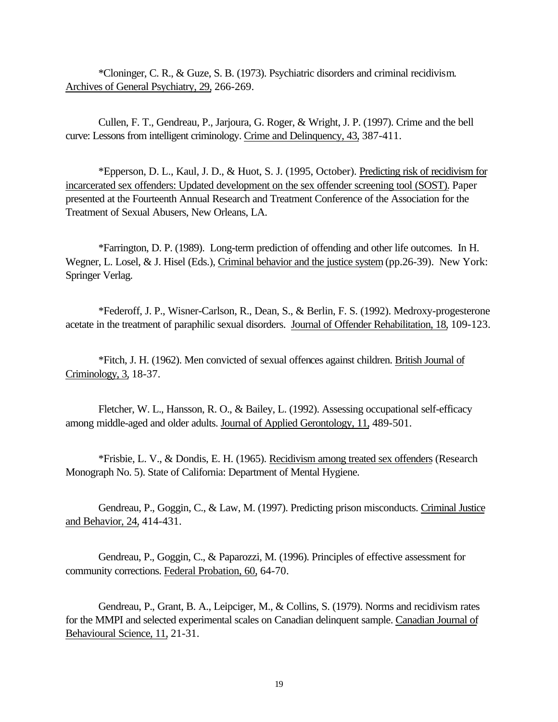\*Cloninger, C. R., & Guze, S. B. (1973). Psychiatric disorders and criminal recidivism. Archives of General Psychiatry, 29, 266-269.

Cullen, F. T., Gendreau, P., Jarjoura, G. Roger, & Wright, J. P. (1997). Crime and the bell curve: Lessons from intelligent criminology. Crime and Delinquency, 43, 387-411.

\*Epperson, D. L., Kaul, J. D., & Huot, S. J. (1995, October). Predicting risk of recidivism for incarcerated sex offenders: Updated development on the sex offender screening tool (SOST). Paper presented at the Fourteenth Annual Research and Treatment Conference of the Association for the Treatment of Sexual Abusers, New Orleans, LA.

\*Farrington, D. P. (1989). Long-term prediction of offending and other life outcomes. In H. Wegner, L. Losel, & J. Hisel (Eds.), Criminal behavior and the justice system (pp.26-39). New York: Springer Verlag.

\*Federoff, J. P., Wisner-Carlson, R., Dean, S., & Berlin, F. S. (1992). Medroxy-progesterone acetate in the treatment of paraphilic sexual disorders. Journal of Offender Rehabilitation, 18, 109-123.

\*Fitch, J. H. (1962). Men convicted of sexual offences against children. British Journal of Criminology, 3, 18-37.

Fletcher, W. L., Hansson, R. O., & Bailey, L. (1992). Assessing occupational self-efficacy among middle-aged and older adults. Journal of Applied Gerontology, 11, 489-501.

\*Frisbie, L. V., & Dondis, E. H. (1965). Recidivism among treated sex offenders (Research Monograph No. 5). State of California: Department of Mental Hygiene.

Gendreau, P., Goggin, C., & Law, M. (1997). Predicting prison misconducts. Criminal Justice and Behavior, 24, 414-431.

Gendreau, P., Goggin, C., & Paparozzi, M. (1996). Principles of effective assessment for community corrections. Federal Probation, 60, 64-70.

Gendreau, P., Grant, B. A., Leipciger, M., & Collins, S. (1979). Norms and recidivism rates for the MMPI and selected experimental scales on Canadian delinquent sample. Canadian Journal of Behavioural Science, 11, 21-31.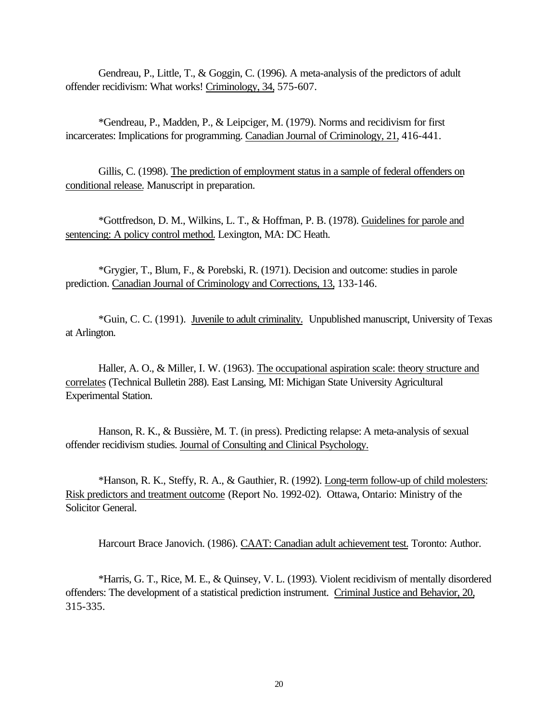Gendreau, P., Little, T., & Goggin, C. (1996). A meta-analysis of the predictors of adult offender recidivism: What works! Criminology, 34, 575-607.

\*Gendreau, P., Madden, P., & Leipciger, M. (1979). Norms and recidivism for first incarcerates: Implications for programming. Canadian Journal of Criminology, 21, 416-441.

Gillis, C. (1998). The prediction of employment status in a sample of federal offenders on conditional release. Manuscript in preparation.

\*Gottfredson, D. M., Wilkins, L. T., & Hoffman, P. B. (1978). Guidelines for parole and sentencing: A policy control method. Lexington, MA: DC Heath.

\*Grygier, T., Blum, F., & Porebski, R. (1971). Decision and outcome: studies in parole prediction. Canadian Journal of Criminology and Corrections, 13, 133-146.

\*Guin, C. C. (1991). Juvenile to adult criminality. Unpublished manuscript, University of Texas at Arlington.

Haller, A. O., & Miller, I. W. (1963). The occupational aspiration scale: theory structure and correlates (Technical Bulletin 288). East Lansing, MI: Michigan State University Agricultural Experimental Station.

Hanson, R. K., & Bussière, M. T. (in press). Predicting relapse: A meta-analysis of sexual offender recidivism studies. Journal of Consulting and Clinical Psychology.

\*Hanson, R. K., Steffy, R. A., & Gauthier, R. (1992). Long-term follow-up of child molesters: Risk predictors and treatment outcome (Report No. 1992-02). Ottawa, Ontario: Ministry of the Solicitor General.

Harcourt Brace Janovich. (1986). CAAT: Canadian adult achievement test. Toronto: Author.

\*Harris, G. T., Rice, M. E., & Quinsey, V. L. (1993). Violent recidivism of mentally disordered offenders: The development of a statistical prediction instrument. Criminal Justice and Behavior, 20, 315-335.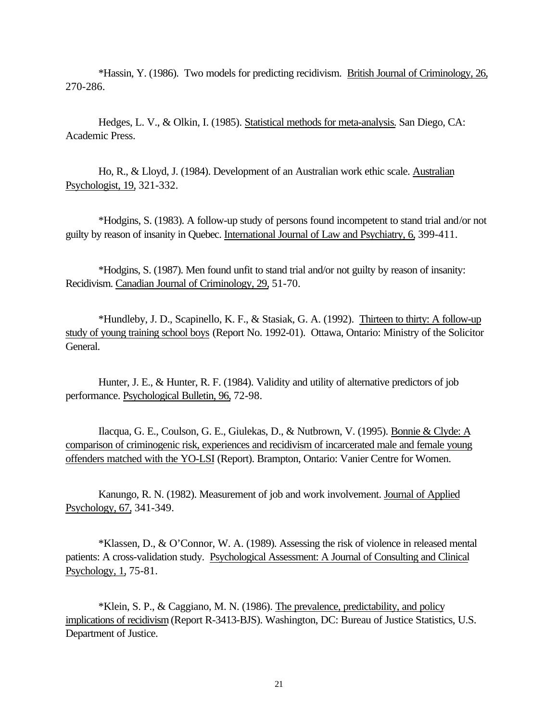\*Hassin, Y. (1986). Two models for predicting recidivism. British Journal of Criminology, 26, 270-286.

Hedges, L. V., & Olkin, I. (1985). Statistical methods for meta-analysis. San Diego, CA: Academic Press.

Ho, R., & Lloyd, J. (1984). Development of an Australian work ethic scale. Australian Psychologist, 19, 321-332.

\*Hodgins, S. (1983). A follow-up study of persons found incompetent to stand trial and/or not guilty by reason of insanity in Quebec. International Journal of Law and Psychiatry, 6, 399-411.

\*Hodgins, S. (1987). Men found unfit to stand trial and/or not guilty by reason of insanity: Recidivism. Canadian Journal of Criminology, 29, 51-70.

\*Hundleby, J. D., Scapinello, K. F., & Stasiak, G. A. (1992). Thirteen to thirty: A follow-up study of young training school boys (Report No. 1992-01). Ottawa, Ontario: Ministry of the Solicitor General.

Hunter, J. E., & Hunter, R. F. (1984). Validity and utility of alternative predictors of job performance. Psychological Bulletin, 96, 72-98.

Ilacqua, G. E., Coulson, G. E., Giulekas, D., & Nutbrown, V. (1995). Bonnie & Clyde: A comparison of criminogenic risk, experiences and recidivism of incarcerated male and female young offenders matched with the YO-LSI (Report). Brampton, Ontario: Vanier Centre for Women.

Kanungo, R. N. (1982). Measurement of job and work involvement. Journal of Applied Psychology, 67, 341-349.

\*Klassen, D., & O'Connor, W. A. (1989). Assessing the risk of violence in released mental patients: A cross-validation study. Psychological Assessment: A Journal of Consulting and Clinical Psychology, 1, 75-81.

\*Klein, S. P., & Caggiano, M. N. (1986). The prevalence, predictability, and policy implications of recidivism (Report R-3413-BJS). Washington, DC: Bureau of Justice Statistics, U.S. Department of Justice.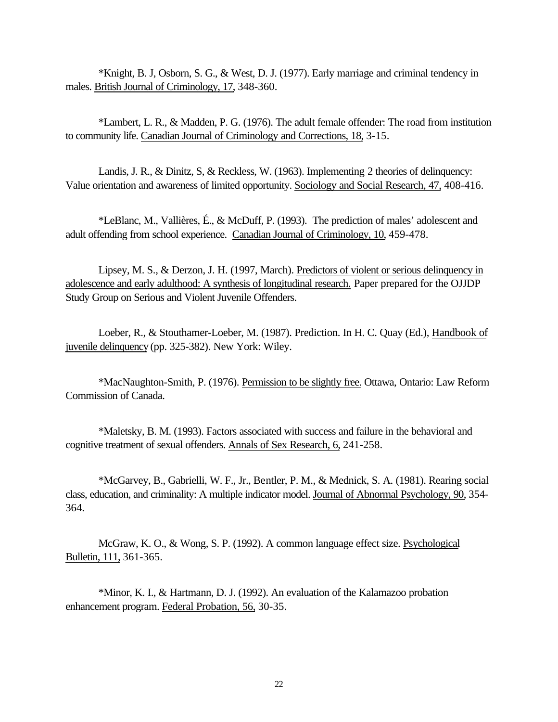\*Knight, B. J, Osborn, S. G., & West, D. J. (1977). Early marriage and criminal tendency in males. British Journal of Criminology, 17, 348-360.

\*Lambert, L. R., & Madden, P. G. (1976). The adult female offender: The road from institution to community life. Canadian Journal of Criminology and Corrections, 18, 3-15.

Landis, J. R., & Dinitz, S, & Reckless, W. (1963). Implementing 2 theories of delinquency: Value orientation and awareness of limited opportunity. Sociology and Social Research, 47, 408-416.

\*LeBlanc, M., Vallières, É., & McDuff, P. (1993). The prediction of males' adolescent and adult offending from school experience. Canadian Journal of Criminology, 10, 459-478.

Lipsey, M. S., & Derzon, J. H. (1997, March). Predictors of violent or serious delinquency in adolescence and early adulthood: A synthesis of longitudinal research. Paper prepared for the OJJDP Study Group on Serious and Violent Juvenile Offenders.

Loeber, R., & Stouthamer-Loeber, M. (1987). Prediction. In H. C. Quay (Ed.), Handbook of juvenile delinquency (pp. 325-382). New York: Wiley.

\*MacNaughton-Smith, P. (1976). Permission to be slightly free. Ottawa, Ontario: Law Reform Commission of Canada.

\*Maletsky, B. M. (1993). Factors associated with success and failure in the behavioral and cognitive treatment of sexual offenders. Annals of Sex Research, 6, 241-258.

\*McGarvey, B., Gabrielli, W. F., Jr., Bentler, P. M., & Mednick, S. A. (1981). Rearing social class, education, and criminality: A multiple indicator model. Journal of Abnormal Psychology, 90, 354- 364.

McGraw, K. O., & Wong, S. P. (1992). A common language effect size. Psychological Bulletin, 111, 361-365.

\*Minor, K. I., & Hartmann, D. J. (1992). An evaluation of the Kalamazoo probation enhancement program. Federal Probation, 56, 30-35.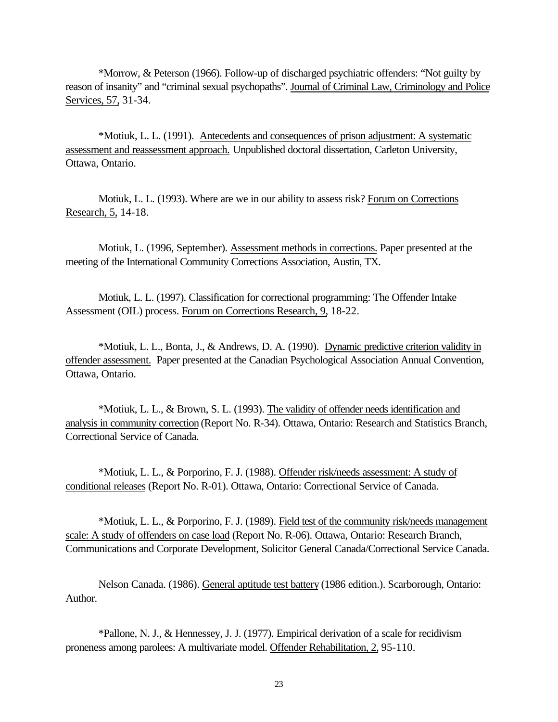\*Morrow, & Peterson (1966). Follow-up of discharged psychiatric offenders: "Not guilty by reason of insanity" and "criminal sexual psychopaths". Journal of Criminal Law, Criminology and Police Services, 57, 31-34.

\*Motiuk, L. L. (1991). Antecedents and consequences of prison adjustment: A systematic assessment and reassessment approach. Unpublished doctoral dissertation, Carleton University, Ottawa, Ontario.

Motiuk, L. L. (1993). Where are we in our ability to assess risk? Forum on Corrections Research, 5, 14-18.

Motiuk, L. (1996, September). Assessment methods in corrections. Paper presented at the meeting of the International Community Corrections Association, Austin, TX.

Motiuk, L. L. (1997). Classification for correctional programming: The Offender Intake Assessment (OIL) process. Forum on Corrections Research, 9, 18-22.

\*Motiuk, L. L., Bonta, J., & Andrews, D. A. (1990). Dynamic predictive criterion validity in offender assessment. Paper presented at the Canadian Psychological Association Annual Convention, Ottawa, Ontario.

\*Motiuk, L. L., & Brown, S. L. (1993). The validity of offender needs identification and analysis in community correction (Report No. R-34). Ottawa, Ontario: Research and Statistics Branch, Correctional Service of Canada.

\*Motiuk, L. L., & Porporino, F. J. (1988). Offender risk/needs assessment: A study of conditional releases (Report No. R-01). Ottawa, Ontario: Correctional Service of Canada.

\*Motiuk, L. L., & Porporino, F. J. (1989). Field test of the community risk/needs management scale: A study of offenders on case load (Report No. R-06). Ottawa, Ontario: Research Branch, Communications and Corporate Development, Solicitor General Canada/Correctional Service Canada.

Nelson Canada. (1986). General aptitude test battery (1986 edition.). Scarborough, Ontario: Author.

\*Pallone, N. J., & Hennessey, J. J. (1977). Empirical derivation of a scale for recidivism proneness among parolees: A multivariate model. Offender Rehabilitation, 2, 95-110.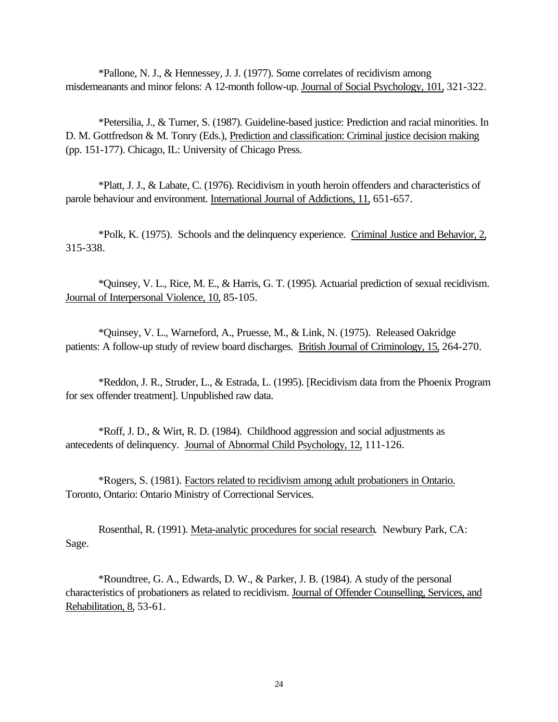\*Pallone, N. J., & Hennessey, J. J. (1977). Some correlates of recidivism among misdemeanants and minor felons: A 12-month follow-up. Journal of Social Psychology, 101, 321-322.

\*Petersilia, J., & Turner, S. (1987). Guideline-based justice: Prediction and racial minorities. In D. M. Gottfredson & M. Tonry (Eds.), Prediction and classification: Criminal justice decision making (pp. 151-177). Chicago, IL: University of Chicago Press.

\*Platt, J. J., & Labate, C. (1976). Recidivism in youth heroin offenders and characteristics of parole behaviour and environment. International Journal of Addictions, 11, 651-657.

\*Polk, K. (1975). Schools and the delinquency experience. Criminal Justice and Behavior, 2, 315-338.

\*Quinsey, V. L., Rice, M. E., & Harris, G. T. (1995). Actuarial prediction of sexual recidivism. Journal of Interpersonal Violence, 10, 85-105.

\*Quinsey, V. L., Warneford, A., Pruesse, M., & Link, N. (1975). Released Oakridge patients: A follow-up study of review board discharges. British Journal of Criminology, 15, 264-270.

\*Reddon, J. R., Struder, L., & Estrada, L. (1995). [Recidivism data from the Phoenix Program for sex offender treatment]. Unpublished raw data.

\*Roff, J. D., & Wirt, R. D. (1984). Childhood aggression and social adjustments as antecedents of delinquency. Journal of Abnormal Child Psychology, 12, 111-126.

\*Rogers, S. (1981). Factors related to recidivism among adult probationers in Ontario. Toronto, Ontario: Ontario Ministry of Correctional Services.

Rosenthal, R. (1991). Meta-analytic procedures for social research. Newbury Park, CA: Sage.

\*Roundtree, G. A., Edwards, D. W., & Parker, J. B. (1984). A study of the personal characteristics of probationers as related to recidivism. Journal of Offender Counselling, Services, and Rehabilitation, 8, 53-61.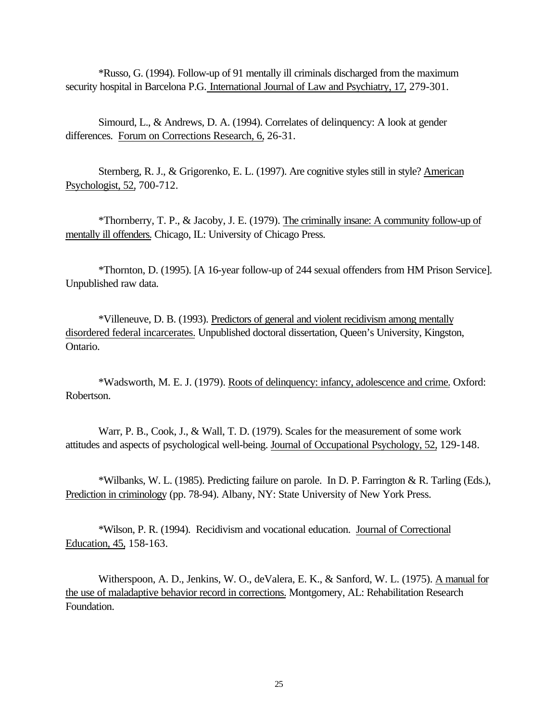\*Russo, G. (1994). Follow-up of 91 mentally ill criminals discharged from the maximum security hospital in Barcelona P.G. International Journal of Law and Psychiatry, 17, 279-301.

Simourd, L., & Andrews, D. A. (1994). Correlates of delinquency: A look at gender differences. Forum on Corrections Research, 6, 26-31.

Sternberg, R. J., & Grigorenko, E. L. (1997). Are cognitive styles still in style? American Psychologist, 52, 700-712.

\*Thornberry, T. P., & Jacoby, J. E. (1979). The criminally insane: A community follow-up of mentally ill offenders. Chicago, IL: University of Chicago Press.

\*Thornton, D. (1995). [A 16-year follow-up of 244 sexual offenders from HM Prison Service]. Unpublished raw data.

\*Villeneuve, D. B. (1993). Predictors of general and violent recidivism among mentally disordered federal incarcerates. Unpublished doctoral dissertation, Queen's University, Kingston, Ontario.

\*Wadsworth, M. E. J. (1979). Roots of delinquency: infancy, adolescence and crime. Oxford: Robertson.

Warr, P. B., Cook, J., & Wall, T. D. (1979). Scales for the measurement of some work attitudes and aspects of psychological well-being. Journal of Occupational Psychology, 52, 129-148.

\*Wilbanks, W. L. (1985). Predicting failure on parole. In D. P. Farrington & R. Tarling (Eds.), Prediction in criminology (pp. 78-94). Albany, NY: State University of New York Press.

\*Wilson, P. R. (1994). Recidivism and vocational education. Journal of Correctional Education, 45, 158-163.

Witherspoon, A. D., Jenkins, W. O., deValera, E. K., & Sanford, W. L. (1975). A manual for the use of maladaptive behavior record in corrections. Montgomery, AL: Rehabilitation Research Foundation.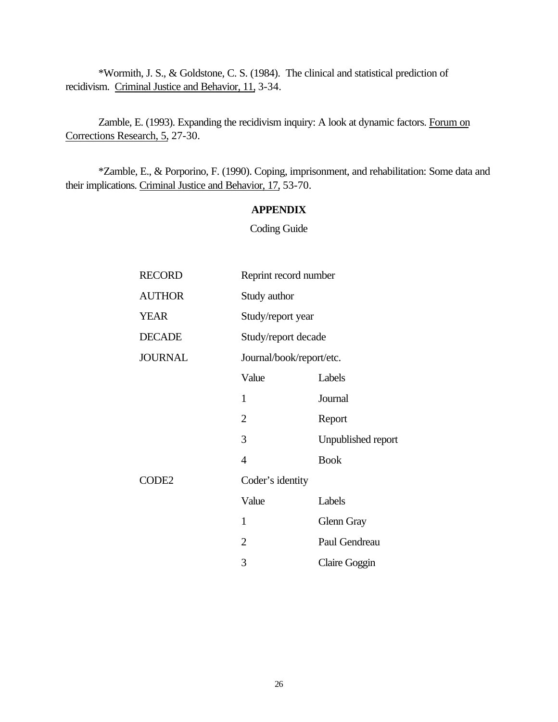\*Wormith, J. S., & Goldstone, C. S. (1984). The clinical and statistical prediction of recidivism. Criminal Justice and Behavior, 11, 3-34.

Zamble, E. (1993). Expanding the recidivism inquiry: A look at dynamic factors. Forum on Corrections Research, 5, 27-30.

\*Zamble, E., & Porporino, F. (1990). Coping, imprisonment, and rehabilitation: Some data and their implications. Criminal Justice and Behavior, 17, 53-70.

## **APPENDIX**

Coding Guide

| <b>RECORD</b>     | Reprint record number    |                    |  |
|-------------------|--------------------------|--------------------|--|
| <b>AUTHOR</b>     | Study author             |                    |  |
| <b>YEAR</b>       | Study/report year        |                    |  |
| <b>DECADE</b>     | Study/report decade      |                    |  |
| <b>JOURNAL</b>    | Journal/book/report/etc. |                    |  |
|                   | Value                    | Labels             |  |
|                   | $\mathbf{1}$             | Journal            |  |
|                   | $\overline{2}$           | Report             |  |
|                   | 3                        | Unpublished report |  |
|                   | $\overline{4}$           | <b>Book</b>        |  |
| CODE <sub>2</sub> | Coder's identity         |                    |  |
|                   | Value                    | Labels             |  |
|                   | 1                        | Glenn Gray         |  |
|                   | $\overline{2}$           | Paul Gendreau      |  |
|                   | 3                        | Claire Goggin      |  |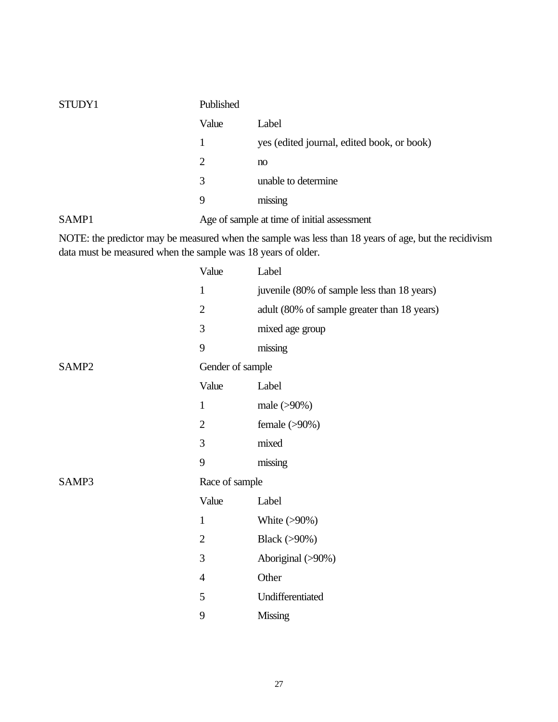| STUDY1            | Published |                                             |
|-------------------|-----------|---------------------------------------------|
|                   | Value     | Label                                       |
|                   | 1         | yes (edited journal, edited book, or book)  |
|                   | 2         | no                                          |
|                   | 3         | unable to determine                         |
|                   | 9         | missing                                     |
| SAMP <sub>1</sub> |           | Age of sample at time of initial assessment |

NOTE: the predictor may be measured when the sample was less than 18 years of age, but the recidivism data must be measured when the sample was 18 years of older.

|       | Value            | Label                                       |
|-------|------------------|---------------------------------------------|
|       | $\mathbf{1}$     | juvenile (80% of sample less than 18 years) |
|       | $\overline{2}$   | adult (80% of sample greater than 18 years) |
|       | 3                | mixed age group                             |
|       | 9                | missing                                     |
| SAMP2 | Gender of sample |                                             |
|       | Value            | Label                                       |
|       | $\mathbf{1}$     | male (>90%)                                 |
|       | $\overline{2}$   | female $(>90\%)$                            |
|       | 3                | mixed                                       |
|       | 9                | missing                                     |
| SAMP3 | Race of sample   |                                             |
|       | Value            | Label                                       |
|       | $\mathbf{1}$     | White $(>90\%)$                             |
|       | $\overline{2}$   | Black (>90%)                                |
|       | 3                | Aboriginal (>90%)                           |
|       | $\overline{4}$   | Other                                       |
|       | 5                | Undifferentiated                            |
|       | 9                | <b>Missing</b>                              |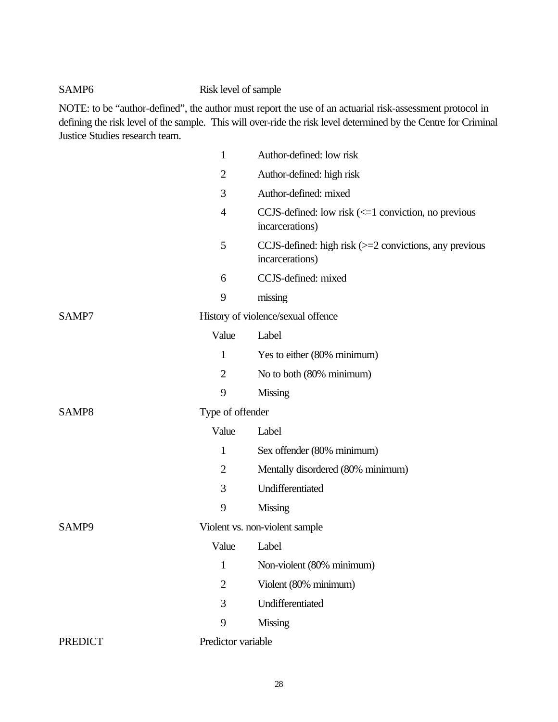# SAMP6 Risk level of sample

NOTE: to be "author-defined", the author must report the use of an actuarial risk-assessment protocol in defining the risk level of the sample. This will over-ride the risk level determined by the Centre for Criminal Justice Studies research team.

|                | 1                  | Author-defined: low risk                                                                |
|----------------|--------------------|-----------------------------------------------------------------------------------------|
|                | $\overline{2}$     | Author-defined: high risk                                                               |
|                | 3                  | Author-defined: mixed                                                                   |
|                | $\overline{4}$     | CCJS-defined: low risk $\left(\leq=1\right)$ conviction, no previous<br>incarcerations) |
|                | 5                  | CCJS-defined: high risk $(>=2$ convictions, any previous<br>incarcerations)             |
|                | 6                  | CCJS-defined: mixed                                                                     |
|                | 9                  | missing                                                                                 |
| SAMP7          |                    | History of violence/sexual offence                                                      |
|                | Value              | Label                                                                                   |
|                | 1                  | Yes to either (80% minimum)                                                             |
|                | $\overline{2}$     | No to both (80% minimum)                                                                |
|                | 9                  | <b>Missing</b>                                                                          |
| SAMP8          | Type of offender   |                                                                                         |
|                | Value              | Label                                                                                   |
|                | 1                  | Sex offender (80% minimum)                                                              |
|                | $\overline{2}$     | Mentally disordered (80% minimum)                                                       |
|                | 3                  | Undifferentiated                                                                        |
|                | 9                  | <b>Missing</b>                                                                          |
| SAMP9          |                    | Violent vs. non-violent sample                                                          |
|                | Value              | Label                                                                                   |
|                | 1                  | Non-violent (80% minimum)                                                               |
|                | $\overline{2}$     | Violent (80% minimum)                                                                   |
|                | 3                  | Undifferentiated                                                                        |
|                | 9                  | <b>Missing</b>                                                                          |
| <b>PREDICT</b> | Predictor variable |                                                                                         |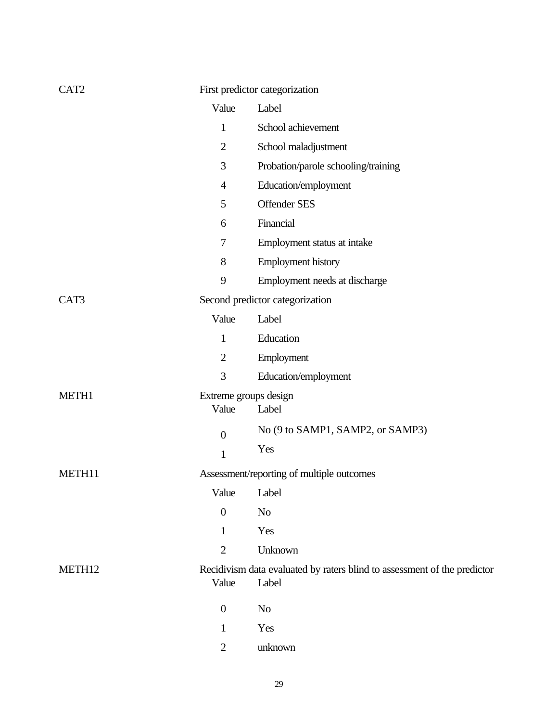| CAT <sub>2</sub>   |                  | First predictor categorization                                                    |
|--------------------|------------------|-----------------------------------------------------------------------------------|
|                    | Value            | Label                                                                             |
|                    | $\mathbf{1}$     | School achievement                                                                |
|                    | $\overline{2}$   | School maladjustment                                                              |
|                    | 3                | Probation/parole schooling/training                                               |
|                    | $\overline{4}$   | Education/employment                                                              |
|                    | 5                | <b>Offender SES</b>                                                               |
|                    | 6                | Financial                                                                         |
|                    | 7                | Employment status at intake                                                       |
|                    | 8                | <b>Employment history</b>                                                         |
|                    | 9                | Employment needs at discharge                                                     |
| CAT3               |                  | Second predictor categorization                                                   |
|                    | Value            | Label                                                                             |
|                    | $\mathbf{1}$     | Education                                                                         |
|                    | $\overline{2}$   | Employment                                                                        |
|                    | 3                | Education/employment                                                              |
| METH1              | Value            | Extreme groups design<br>Label                                                    |
|                    | $\boldsymbol{0}$ | No (9 to SAMP1, SAMP2, or SAMP3)                                                  |
|                    | $\mathbf{1}$     | Yes                                                                               |
| METH11             |                  | Assessment/reporting of multiple outcomes                                         |
|                    |                  | Value Label                                                                       |
|                    | $\overline{0}$   | N <sub>o</sub>                                                                    |
|                    | $\mathbf{1}$     | Yes                                                                               |
|                    | $\overline{2}$   | Unknown                                                                           |
| METH <sub>12</sub> | Value            | Recidivism data evaluated by raters blind to assessment of the predictor<br>Label |
|                    | $\boldsymbol{0}$ | N <sub>o</sub>                                                                    |
|                    | 1                | Yes                                                                               |
|                    | $\mathbf{2}$     | unknown                                                                           |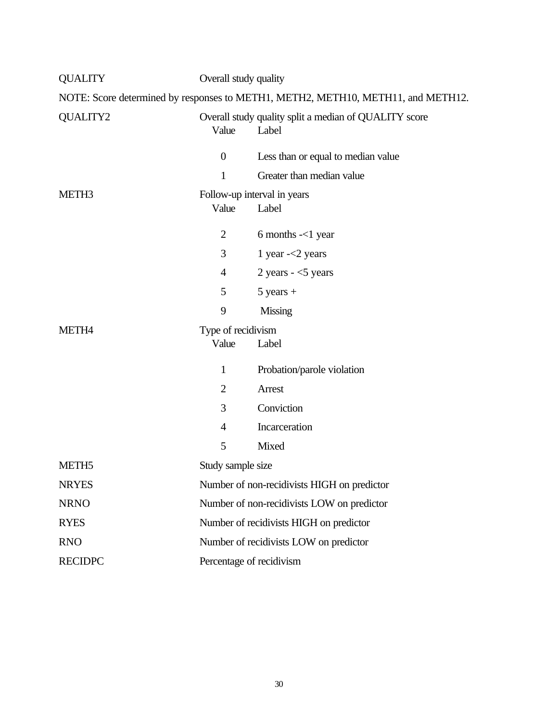| <b>QUALITY</b>                                                                   | Overall study quality                       |                                                                |  |  |
|----------------------------------------------------------------------------------|---------------------------------------------|----------------------------------------------------------------|--|--|
| NOTE: Score determined by responses to METH1, METH2, METH10, METH11, and METH12. |                                             |                                                                |  |  |
| <b>QUALITY2</b>                                                                  | Value                                       | Overall study quality split a median of QUALITY score<br>Label |  |  |
|                                                                                  | $\boldsymbol{0}$                            | Less than or equal to median value                             |  |  |
|                                                                                  | $\mathbf{1}$                                | Greater than median value                                      |  |  |
| METH <sub>3</sub>                                                                | Value                                       | Follow-up interval in years<br>Label                           |  |  |
|                                                                                  | $\overline{2}$                              | 6 months $-<$ 1 year                                           |  |  |
|                                                                                  | 3                                           | 1 year $\leq$ years                                            |  |  |
|                                                                                  | $\overline{4}$                              | 2 years $-5$ years                                             |  |  |
|                                                                                  | 5                                           | $5$ years $+$                                                  |  |  |
|                                                                                  | 9                                           | <b>Missing</b>                                                 |  |  |
| METH <sub>4</sub>                                                                | Type of recidivism<br>Value                 | Label                                                          |  |  |
|                                                                                  | $\mathbf{1}$                                | Probation/parole violation                                     |  |  |
|                                                                                  | $\overline{2}$                              | Arrest                                                         |  |  |
|                                                                                  | 3                                           | Conviction                                                     |  |  |
|                                                                                  | $\overline{4}$                              | Incarceration                                                  |  |  |
|                                                                                  | 5                                           | Mixed                                                          |  |  |
| METH <sub>5</sub>                                                                | Study sample size                           |                                                                |  |  |
| <b>NRYES</b>                                                                     | Number of non-recidivists HIGH on predictor |                                                                |  |  |
| <b>NRNO</b>                                                                      |                                             | Number of non-recidivists LOW on predictor                     |  |  |
| <b>RYES</b>                                                                      | Number of recidivists HIGH on predictor     |                                                                |  |  |
| <b>RNO</b>                                                                       | Number of recidivists LOW on predictor      |                                                                |  |  |
| <b>RECIDPC</b>                                                                   | Percentage of recidivism                    |                                                                |  |  |